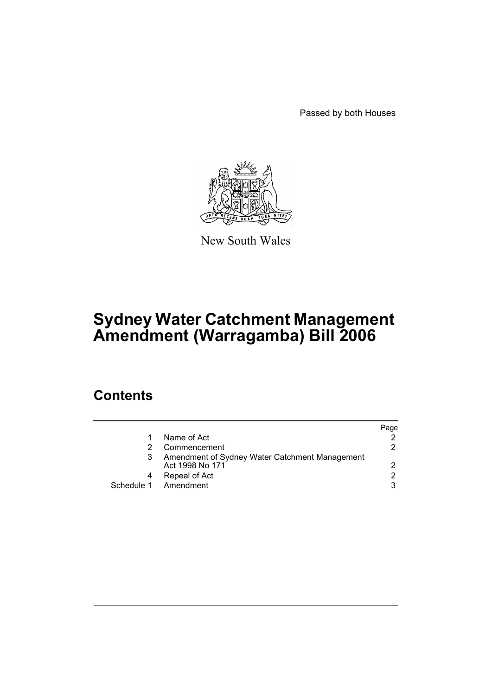Passed by both Houses



New South Wales

# **Sydney Water Catchment Management Amendment (Warragamba) Bill 2006**

### **Contents**

|            |                                                                   | Page |
|------------|-------------------------------------------------------------------|------|
|            | Name of Act                                                       |      |
|            | Commencement                                                      | 2    |
|            | Amendment of Sydney Water Catchment Management<br>Act 1998 No 171 | 2    |
|            | Repeal of Act                                                     | 2    |
| Schedule 1 | Amendment                                                         | 3    |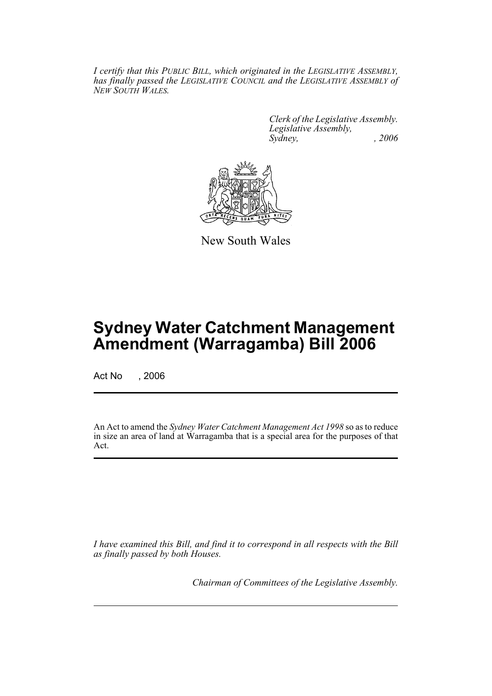*I certify that this PUBLIC BILL, which originated in the LEGISLATIVE ASSEMBLY, has finally passed the LEGISLATIVE COUNCIL and the LEGISLATIVE ASSEMBLY of NEW SOUTH WALES.*

> *Clerk of the Legislative Assembly. Legislative Assembly, Sydney, , 2006*



New South Wales

## **Sydney Water Catchment Management Amendment (Warragamba) Bill 2006**

Act No , 2006

An Act to amend the *Sydney Water Catchment Management Act 1998* so as to reduce in size an area of land at Warragamba that is a special area for the purposes of that Act.

*I have examined this Bill, and find it to correspond in all respects with the Bill as finally passed by both Houses.*

*Chairman of Committees of the Legislative Assembly.*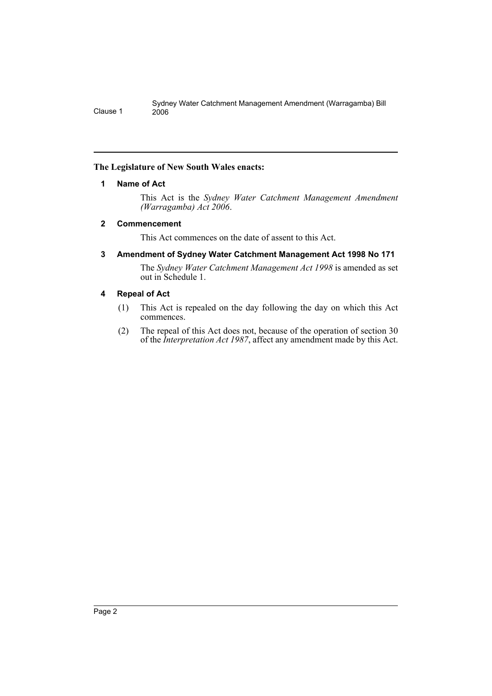#### <span id="page-2-0"></span>**The Legislature of New South Wales enacts:**

#### **1 Name of Act**

This Act is the *Sydney Water Catchment Management Amendment (Warragamba) Act 2006*.

#### <span id="page-2-1"></span>**2 Commencement**

This Act commences on the date of assent to this Act.

#### <span id="page-2-2"></span>**3 Amendment of Sydney Water Catchment Management Act 1998 No 171**

The *Sydney Water Catchment Management Act 1998* is amended as set out in Schedule 1.

#### <span id="page-2-3"></span>**4 Repeal of Act**

- (1) This Act is repealed on the day following the day on which this Act commences.
- (2) The repeal of this Act does not, because of the operation of section 30 of the *Interpretation Act 1987*, affect any amendment made by this Act.